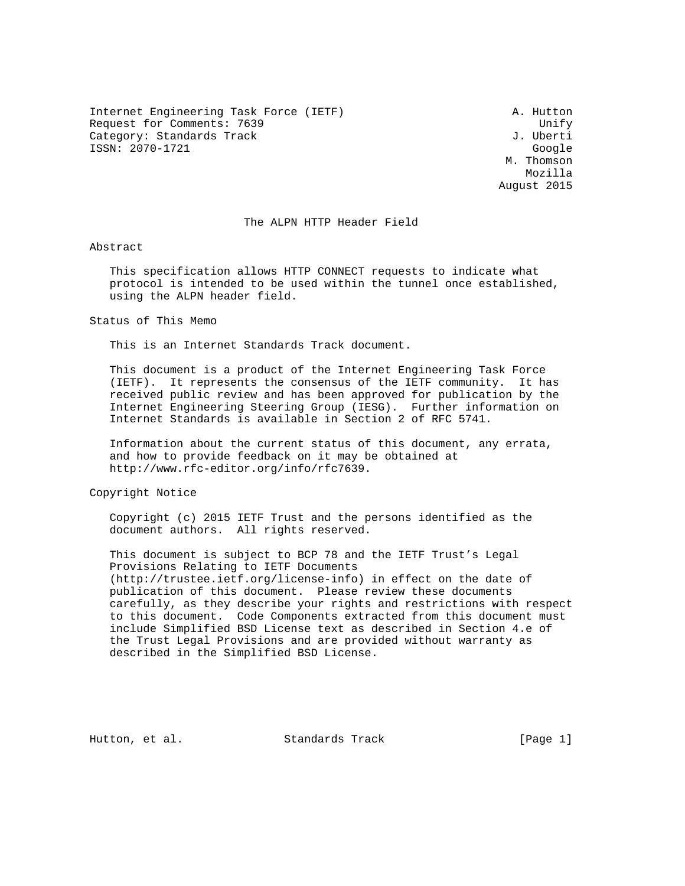Internet Engineering Task Force (IETF) A. Hutton Request for Comments: 7639 Unify<br>Category: Standards Track Unify Unify Category: Standards Track ISSN: 2070-1721 Google

 M. Thomson Mozilla August 2015

#### The ALPN HTTP Header Field

Abstract

 This specification allows HTTP CONNECT requests to indicate what protocol is intended to be used within the tunnel once established, using the ALPN header field.

Status of This Memo

This is an Internet Standards Track document.

 This document is a product of the Internet Engineering Task Force (IETF). It represents the consensus of the IETF community. It has received public review and has been approved for publication by the Internet Engineering Steering Group (IESG). Further information on Internet Standards is available in Section 2 of RFC 5741.

 Information about the current status of this document, any errata, and how to provide feedback on it may be obtained at http://www.rfc-editor.org/info/rfc7639.

Copyright Notice

 Copyright (c) 2015 IETF Trust and the persons identified as the document authors. All rights reserved.

 This document is subject to BCP 78 and the IETF Trust's Legal Provisions Relating to IETF Documents (http://trustee.ietf.org/license-info) in effect on the date of publication of this document. Please review these documents carefully, as they describe your rights and restrictions with respect to this document. Code Components extracted from this document must include Simplified BSD License text as described in Section 4.e of the Trust Legal Provisions and are provided without warranty as described in the Simplified BSD License.

Hutton, et al. Standards Track [Page 1]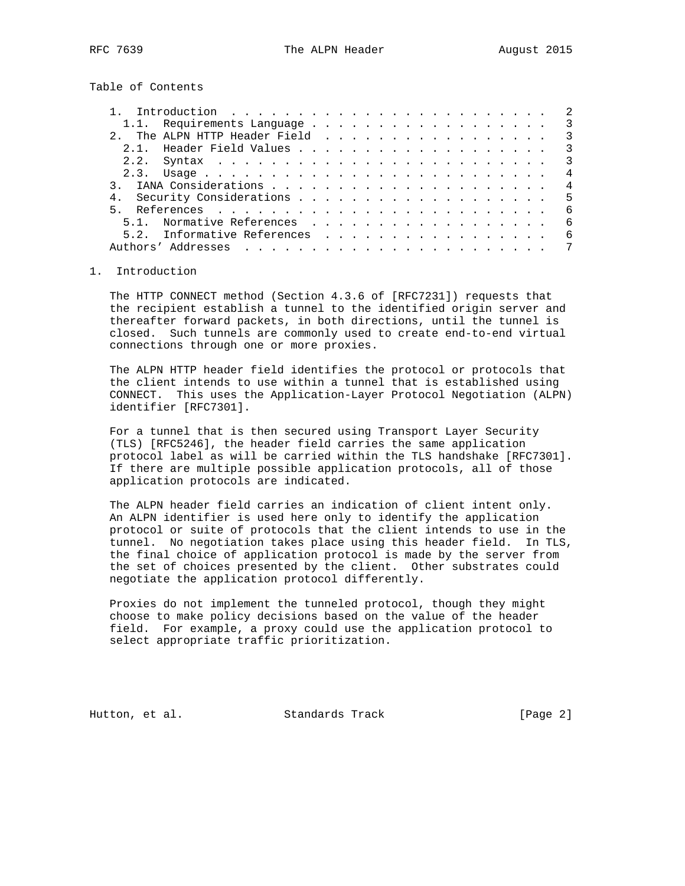Table of Contents

|          | Introduction $\ldots \ldots \ldots \ldots \ldots \ldots \ldots \ldots$ |  |  |  |  |  |  |  |  |  |  |                          |
|----------|------------------------------------------------------------------------|--|--|--|--|--|--|--|--|--|--|--------------------------|
|          | 1.1. Requirements Language 3                                           |  |  |  |  |  |  |  |  |  |  |                          |
|          |                                                                        |  |  |  |  |  |  |  |  |  |  | $\overline{\mathbf{3}}$  |
|          |                                                                        |  |  |  |  |  |  |  |  |  |  | $\overline{\mathcal{E}}$ |
|          |                                                                        |  |  |  |  |  |  |  |  |  |  | $\overline{\mathbf{3}}$  |
|          |                                                                        |  |  |  |  |  |  |  |  |  |  | 4                        |
|          |                                                                        |  |  |  |  |  |  |  |  |  |  | $\overline{4}$           |
|          | 4. Security Considerations 5                                           |  |  |  |  |  |  |  |  |  |  |                          |
|          |                                                                        |  |  |  |  |  |  |  |  |  |  | - 6                      |
|          | 5.1. Normative References                                              |  |  |  |  |  |  |  |  |  |  | 6                        |
|          | 5.2. Informative References                                            |  |  |  |  |  |  |  |  |  |  | 6                        |
| Authors' |                                                                        |  |  |  |  |  |  |  |  |  |  | $7\phantom{.0}$          |
|          |                                                                        |  |  |  |  |  |  |  |  |  |  |                          |

## 1. Introduction

 The HTTP CONNECT method (Section 4.3.6 of [RFC7231]) requests that the recipient establish a tunnel to the identified origin server and thereafter forward packets, in both directions, until the tunnel is closed. Such tunnels are commonly used to create end-to-end virtual connections through one or more proxies.

 The ALPN HTTP header field identifies the protocol or protocols that the client intends to use within a tunnel that is established using CONNECT. This uses the Application-Layer Protocol Negotiation (ALPN) identifier [RFC7301].

 For a tunnel that is then secured using Transport Layer Security (TLS) [RFC5246], the header field carries the same application protocol label as will be carried within the TLS handshake [RFC7301]. If there are multiple possible application protocols, all of those application protocols are indicated.

 The ALPN header field carries an indication of client intent only. An ALPN identifier is used here only to identify the application protocol or suite of protocols that the client intends to use in the tunnel. No negotiation takes place using this header field. In TLS, the final choice of application protocol is made by the server from the set of choices presented by the client. Other substrates could negotiate the application protocol differently.

 Proxies do not implement the tunneled protocol, though they might choose to make policy decisions based on the value of the header field. For example, a proxy could use the application protocol to select appropriate traffic prioritization.

Hutton, et al. Standards Track [Page 2]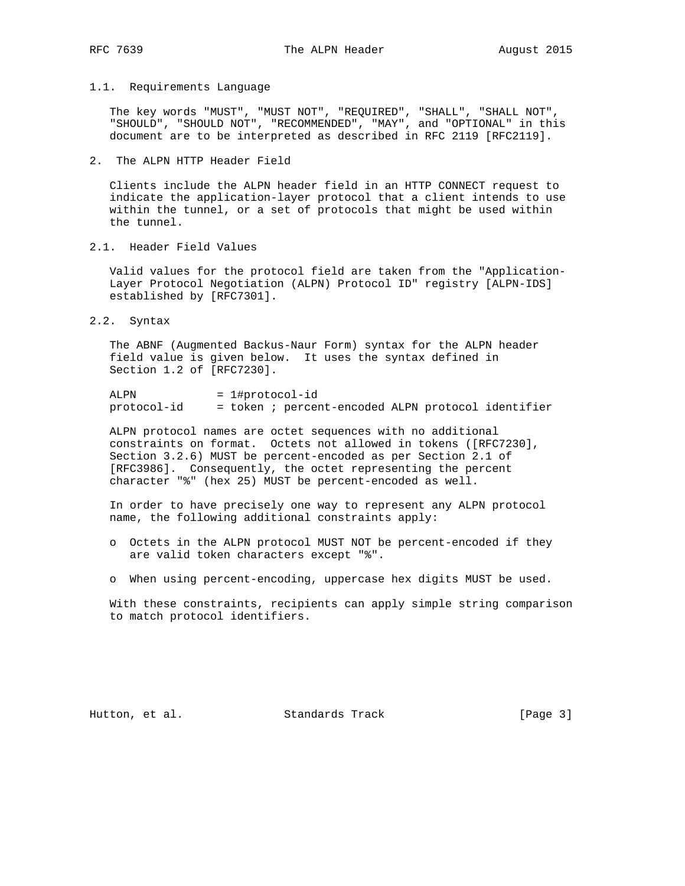## 1.1. Requirements Language

 The key words "MUST", "MUST NOT", "REQUIRED", "SHALL", "SHALL NOT", "SHOULD", "SHOULD NOT", "RECOMMENDED", "MAY", and "OPTIONAL" in this document are to be interpreted as described in RFC 2119 [RFC2119].

2. The ALPN HTTP Header Field

 Clients include the ALPN header field in an HTTP CONNECT request to indicate the application-layer protocol that a client intends to use within the tunnel, or a set of protocols that might be used within the tunnel.

2.1. Header Field Values

 Valid values for the protocol field are taken from the "Application- Layer Protocol Negotiation (ALPN) Protocol ID" registry [ALPN-IDS] established by [RFC7301].

2.2. Syntax

 The ABNF (Augmented Backus-Naur Form) syntax for the ALPN header field value is given below. It uses the syntax defined in Section 1.2 of [RFC7230].

ALPN = 1#protocol-id protocol-id = token ; percent-encoded ALPN protocol identifier

 ALPN protocol names are octet sequences with no additional constraints on format. Octets not allowed in tokens ([RFC7230], Section 3.2.6) MUST be percent-encoded as per Section 2.1 of [RFC3986]. Consequently, the octet representing the percent character "%" (hex 25) MUST be percent-encoded as well.

 In order to have precisely one way to represent any ALPN protocol name, the following additional constraints apply:

- o Octets in the ALPN protocol MUST NOT be percent-encoded if they are valid token characters except "%".
- o When using percent-encoding, uppercase hex digits MUST be used.

 With these constraints, recipients can apply simple string comparison to match protocol identifiers.

Hutton, et al. Standards Track [Page 3]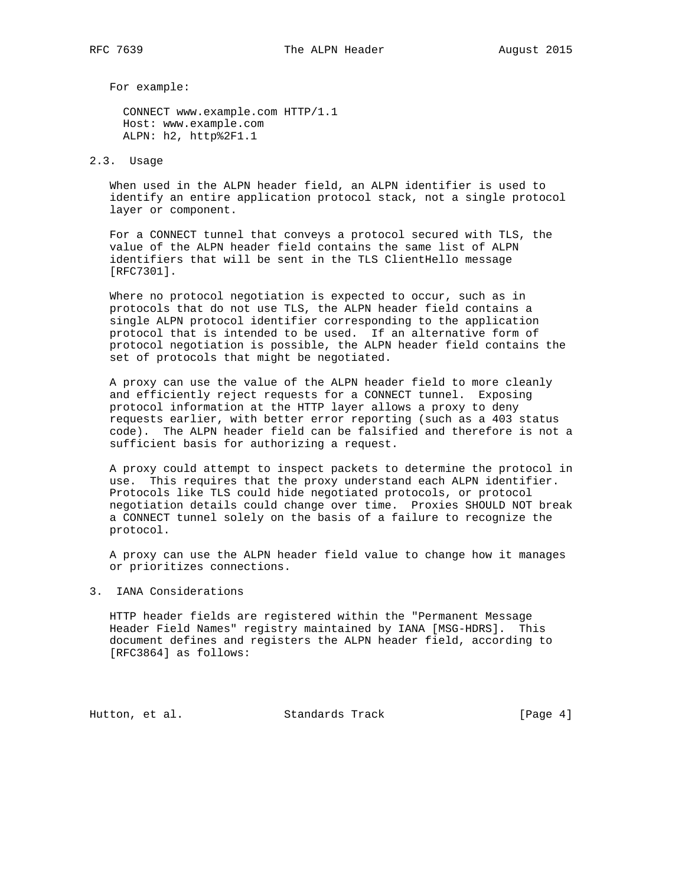For example:

 CONNECT www.example.com HTTP/1.1 Host: www.example.com ALPN: h2, http%2F1.1

#### 2.3. Usage

 When used in the ALPN header field, an ALPN identifier is used to identify an entire application protocol stack, not a single protocol layer or component.

 For a CONNECT tunnel that conveys a protocol secured with TLS, the value of the ALPN header field contains the same list of ALPN identifiers that will be sent in the TLS ClientHello message [RFC7301].

 Where no protocol negotiation is expected to occur, such as in protocols that do not use TLS, the ALPN header field contains a single ALPN protocol identifier corresponding to the application protocol that is intended to be used. If an alternative form of protocol negotiation is possible, the ALPN header field contains the set of protocols that might be negotiated.

 A proxy can use the value of the ALPN header field to more cleanly and efficiently reject requests for a CONNECT tunnel. Exposing protocol information at the HTTP layer allows a proxy to deny requests earlier, with better error reporting (such as a 403 status code). The ALPN header field can be falsified and therefore is not a sufficient basis for authorizing a request.

 A proxy could attempt to inspect packets to determine the protocol in use. This requires that the proxy understand each ALPN identifier. Protocols like TLS could hide negotiated protocols, or protocol negotiation details could change over time. Proxies SHOULD NOT break a CONNECT tunnel solely on the basis of a failure to recognize the protocol.

 A proxy can use the ALPN header field value to change how it manages or prioritizes connections.

### 3. IANA Considerations

 HTTP header fields are registered within the "Permanent Message Header Field Names" registry maintained by IANA [MSG-HDRS]. This document defines and registers the ALPN header field, according to [RFC3864] as follows:

Hutton, et al. Standards Track [Page 4]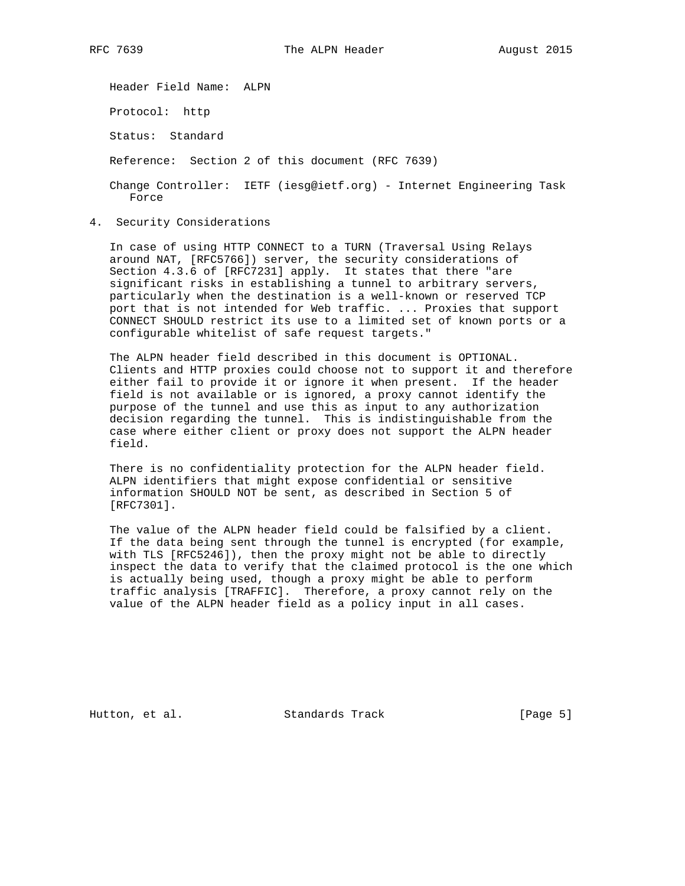Header Field Name: ALPN Protocol: http Status: Standard Reference: Section 2 of this document (RFC 7639) Change Controller: IETF (iesg@ietf.org) - Internet Engineering Task Force

4. Security Considerations

 In case of using HTTP CONNECT to a TURN (Traversal Using Relays around NAT, [RFC5766]) server, the security considerations of Section 4.3.6 of [RFC7231] apply. It states that there "are significant risks in establishing a tunnel to arbitrary servers, particularly when the destination is a well-known or reserved TCP port that is not intended for Web traffic. ... Proxies that support CONNECT SHOULD restrict its use to a limited set of known ports or a configurable whitelist of safe request targets."

 The ALPN header field described in this document is OPTIONAL. Clients and HTTP proxies could choose not to support it and therefore either fail to provide it or ignore it when present. If the header field is not available or is ignored, a proxy cannot identify the purpose of the tunnel and use this as input to any authorization decision regarding the tunnel. This is indistinguishable from the case where either client or proxy does not support the ALPN header field.

 There is no confidentiality protection for the ALPN header field. ALPN identifiers that might expose confidential or sensitive information SHOULD NOT be sent, as described in Section 5 of [RFC7301].

 The value of the ALPN header field could be falsified by a client. If the data being sent through the tunnel is encrypted (for example, with TLS [RFC5246]), then the proxy might not be able to directly inspect the data to verify that the claimed protocol is the one which is actually being used, though a proxy might be able to perform traffic analysis [TRAFFIC]. Therefore, a proxy cannot rely on the value of the ALPN header field as a policy input in all cases.

Hutton, et al. Standards Track [Page 5]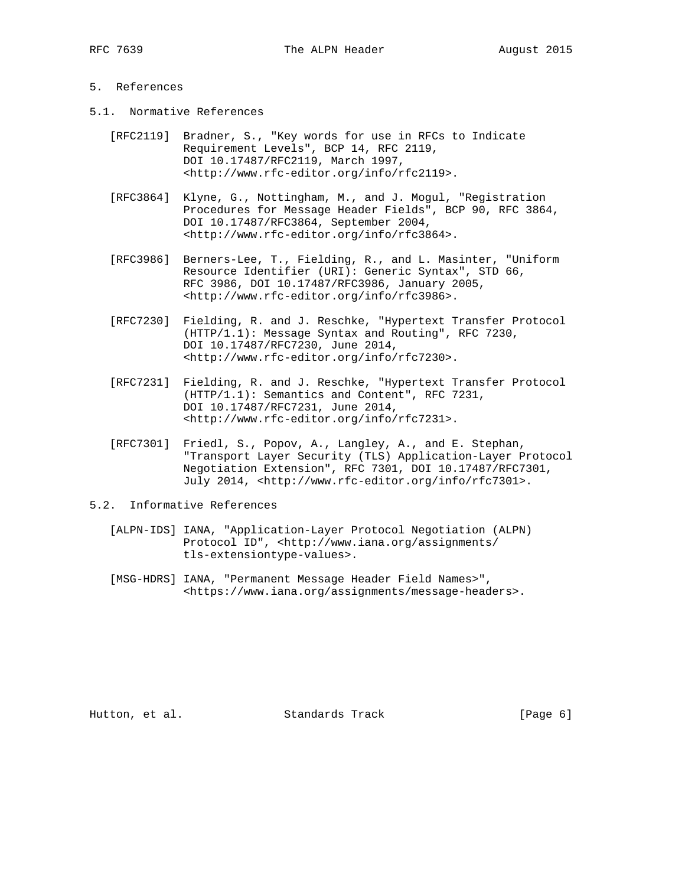# 5. References

- 5.1. Normative References
	- [RFC2119] Bradner, S., "Key words for use in RFCs to Indicate Requirement Levels", BCP 14, RFC 2119, DOI 10.17487/RFC2119, March 1997, <http://www.rfc-editor.org/info/rfc2119>.
	- [RFC3864] Klyne, G., Nottingham, M., and J. Mogul, "Registration Procedures for Message Header Fields", BCP 90, RFC 3864, DOI 10.17487/RFC3864, September 2004, <http://www.rfc-editor.org/info/rfc3864>.
	- [RFC3986] Berners-Lee, T., Fielding, R., and L. Masinter, "Uniform Resource Identifier (URI): Generic Syntax", STD 66, RFC 3986, DOI 10.17487/RFC3986, January 2005, <http://www.rfc-editor.org/info/rfc3986>.
	- [RFC7230] Fielding, R. and J. Reschke, "Hypertext Transfer Protocol (HTTP/1.1): Message Syntax and Routing", RFC 7230, DOI 10.17487/RFC7230, June 2014, <http://www.rfc-editor.org/info/rfc7230>.
	- [RFC7231] Fielding, R. and J. Reschke, "Hypertext Transfer Protocol (HTTP/1.1): Semantics and Content", RFC 7231, DOI 10.17487/RFC7231, June 2014, <http://www.rfc-editor.org/info/rfc7231>.
	- [RFC7301] Friedl, S., Popov, A., Langley, A., and E. Stephan, "Transport Layer Security (TLS) Application-Layer Protocol Negotiation Extension", RFC 7301, DOI 10.17487/RFC7301, July 2014, <http://www.rfc-editor.org/info/rfc7301>.
- 5.2. Informative References
	- [ALPN-IDS] IANA, "Application-Layer Protocol Negotiation (ALPN) Protocol ID", <http://www.iana.org/assignments/ tls-extensiontype-values>.
	- [MSG-HDRS] IANA, "Permanent Message Header Field Names>", <https://www.iana.org/assignments/message-headers>.

Hutton, et al. Standards Track [Page 6]